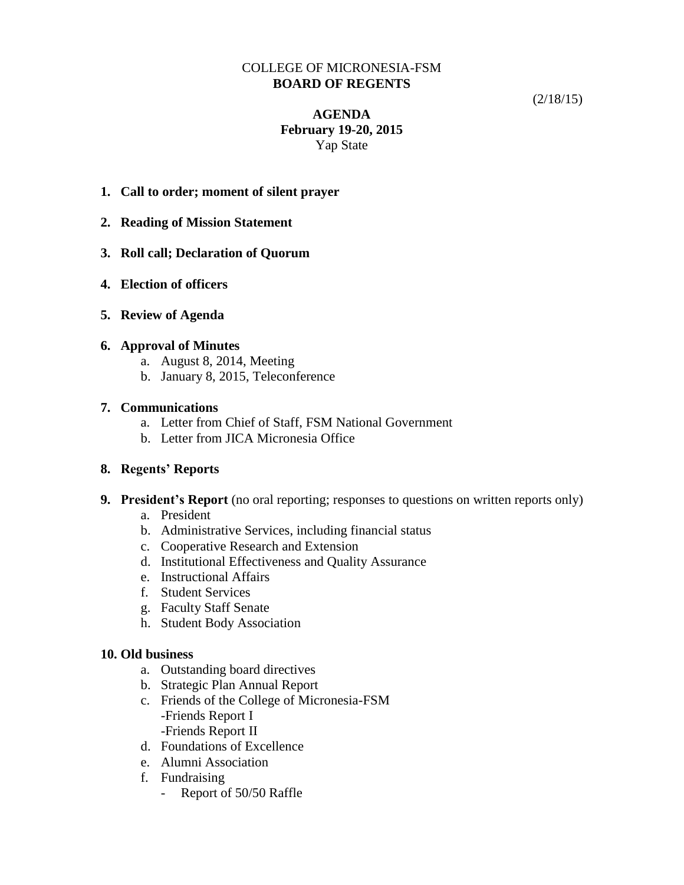### COLLEGE OF MICRONESIA-FSM **BOARD OF REGENTS**

 $(2/18/15)$ 

## **AGENDA February 19-20, 2015** Yap State

- **1. Call to order; moment of silent prayer**
- **2. Reading of Mission Statement**
- **3. Roll call; Declaration of Quorum**
- **4. Election of officers**
- **5. Review of Agenda**

### **6. Approval of Minutes**

- a. August 8, 2014, Meeting
- b. January 8, 2015, Teleconference

#### **7. Communications**

- a. Letter from Chief of Staff, FSM National Government
- b. Letter from JICA Micronesia Office

### **8. Regents' Reports**

- **9. President's Report** (no oral reporting; responses to questions on written reports only)
	- a. President
	- b. Administrative Services, including financial status
	- c. Cooperative Research and Extension
	- d. Institutional Effectiveness and Quality Assurance
	- e. Instructional Affairs
	- f. Student Services
	- g. Faculty Staff Senate
	- h. Student Body Association

#### **10. Old business**

- a. Outstanding board directives
- b. Strategic Plan Annual Report
- c. Friends of the College of Micronesia-FSM -Friends Report I -Friends Report II
- d. Foundations of Excellence
- e. Alumni Association
- f. Fundraising
	- Report of 50/50 Raffle